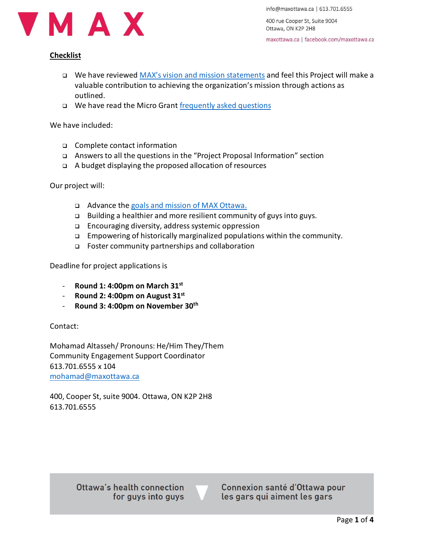

info@maxottawa.ca | 613.701.6555

400 rue Cooper St, Suite 9004 Ottawa, ON K2P 2H8

maxottawa.ca | facebook.com/maxottawa.ca

## **Checklist**

- ❑ We have reviewed [MAX's vision and mission statements](https://maxottawa.ca/about/) and feel this Project will make a valuable contribution to achieving the organization's mission through actions as outlined.
- ❑ We have read the Micro Grant [frequently asked questions](https://drive.google.com/file/d/1COSI8_1fXJvUZc9ZvfzYeRMXDbyVzeS9/view?usp=sharing)

We have included:

- ❑ Complete contact information
- ❑ Answers to all the questions in the "Project Proposal Information" section
- ❑ A budget displaying the proposed allocation of resources

Our project will:

- ❑ Advance th[e goals and mission of MAX](https://maxottawa.ca/about/) Ottawa.
- ❑ Building a healthier and more resilient community of guys into guys.
- ❑ Encouraging diversity, address systemic oppression
- ❑ Empowering of historically marginalized populations within the community.
- ❑ Foster community partnerships and collaboration

Deadline for project applications is

- **Round 1: 4:00pm on March 31st**
- **Round 2: 4:00pm on August 31st**
- **Round 3: 4:00pm on November 30 th**

Contact:

Mohamad Altasseh/ Pronouns: He/Him They/Them Community Engagement Support Coordinator 613.701.6555 x 104 [mohamad@maxottawa.ca](mailto:mohamad@maxottawa.ca)

400, Cooper St, suite 9004. Ottawa, ON K2P 2H8 613.701.6555

> Ottawa's health connection for guys into guys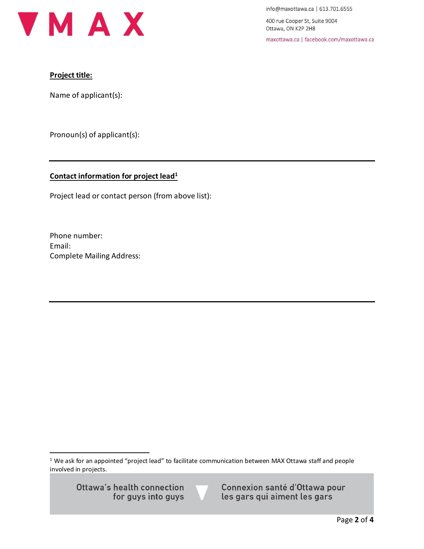

info@maxottawa.ca | 613.701.6555

400 rue Cooper St, Suite 9004 Ottawa, ON K2P 2H8

maxottawa.ca | facebook.com/maxottawa.ca

## **Project title:**

Name of applicant(s):

Pronoun(s) of applicant(s):

# **Contact information for project lead<sup>1</sup>**

Project lead or contact person (from above list):

Phone number: Email: Complete Mailing Address:

<sup>1</sup> We ask for an appointed "project lead" to facilitate communication between MAX Ottawa staff and people involved in projects.

Ottawa's health connection for guys into guys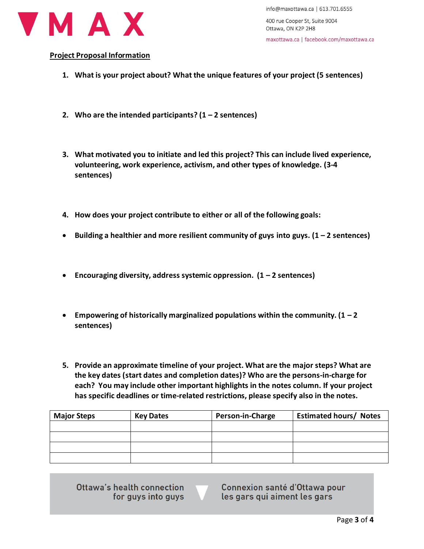

info@maxottawa.ca | 613.701.6555

400 rue Cooper St, Suite 9004 Ottawa, ON K2P 2H8

maxottawa.ca | facebook.com/maxottawa.ca

#### **Project Proposal Information**

- **1. What is your project about? What the unique features of your project (5 sentences)**
- **2.** Who are the intended participants?  $(1 2$  sentences)
- **3. What motivated you to initiate and led this project? This can include lived experience, volunteering, work experience, activism, and other types of knowledge. (3-4 sentences)**
- **4. How does your project contribute to either or all of the following goals:**
- **Building a healthier and more resilient community of guys into guys. (1 – 2 sentences)**
- **Encouraging diversity, address systemic oppression. (1 – 2 sentences)**
- **Empowering of historically marginalized populations within the community. (1 – 2 sentences)**
- **5. Provide an approximate timeline of your project. What are the major steps? What are the key dates (start dates and completion dates)? Who are the persons-in-charge for each? You may include other important highlights in the notes column. If your project has specific deadlines or time-related restrictions, please specify also in the notes.**

| <b>Major Steps</b> | <b>Key Dates</b> | Person-in-Charge | <b>Estimated hours/ Notes</b> |
|--------------------|------------------|------------------|-------------------------------|
|                    |                  |                  |                               |
|                    |                  |                  |                               |
|                    |                  |                  |                               |
|                    |                  |                  |                               |

Ottawa's health connection for guys into guys